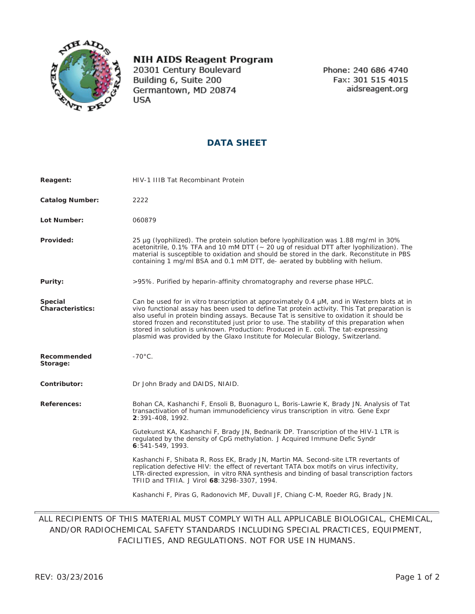

## **NIH AIDS Reagent Program**

20301 Century Boulevard Building 6, Suite 200 Germantown, MD 20874 **USA** 

Phone: 240 686 4740 Fax: 301 515 4015 aidsreagent.org

## **DATA SHEET**

| Reagent:                    | HIV-1 IIIB Tat Recombinant Protein                                                                                                                                                                                                                                                                                                                                                                                                                                                                                                                           |
|-----------------------------|--------------------------------------------------------------------------------------------------------------------------------------------------------------------------------------------------------------------------------------------------------------------------------------------------------------------------------------------------------------------------------------------------------------------------------------------------------------------------------------------------------------------------------------------------------------|
| <b>Catalog Number:</b>      | 2222                                                                                                                                                                                                                                                                                                                                                                                                                                                                                                                                                         |
| Lot Number:                 | 060879                                                                                                                                                                                                                                                                                                                                                                                                                                                                                                                                                       |
| Provided:                   | 25 μg (lyophilized). The protein solution before lyophilization was 1.88 mg/ml in 30%<br>acetonitrile, 0.1% TFA and 10 mM DTT (~ 20 ug of residual DTT after lyophilization). The<br>material is susceptible to oxidation and should be stored in the dark. Reconstitute in PBS<br>containing 1 mg/ml BSA and 0.1 mM DTT, de- aerated by bubbling with helium.                                                                                                                                                                                               |
| Purity:                     | >95%. Purified by heparin-affinity chromatography and reverse phase HPLC.                                                                                                                                                                                                                                                                                                                                                                                                                                                                                    |
| Special<br>Characteristics: | Can be used for in vitro transcription at approximately 0.4 µM, and in Western blots at in<br>vivo functional assay has been used to define Tat protein activity. This Tat preparation is<br>also useful in protein binding assays. Because Tat is sensitive to oxidation it should be<br>stored frozen and reconstituted just prior to use. The stability of this preparation when<br>stored in solution is unknown. Production: Produced in E. coli. The tat-expressing<br>plasmid was provided by the Glaxo Institute for Molecular Biology, Switzerland. |
| Recommended<br>Storage:     | $-70^{\circ}$ C.                                                                                                                                                                                                                                                                                                                                                                                                                                                                                                                                             |
| Contributor:                | Dr John Brady and DAIDS, NIAID.                                                                                                                                                                                                                                                                                                                                                                                                                                                                                                                              |
| References:                 | Bohan CA, Kashanchi F, Ensoli B, Buonaguro L, Boris-Lawrie K, Brady JN. Analysis of Tat<br>transactivation of human immunodeficiency virus transcription in vitro. Gene Expr<br>2:391-408, 1992.                                                                                                                                                                                                                                                                                                                                                             |
|                             | Gutekunst KA, Kashanchi F, Brady JN, Bednarik DP. Transcription of the HIV-1 LTR is<br>regulated by the density of CpG methylation. J Acquired Immune Defic Syndr<br>6:541-549, 1993.                                                                                                                                                                                                                                                                                                                                                                        |
|                             | Kashanchi F, Shibata R, Ross EK, Brady JN, Martin MA. Second-site LTR revertants of<br>replication defective HIV: the effect of revertant TATA box motifs on virus infectivity,<br>LTR-directed expression, in vitro RNA synthesis and binding of basal transcription factors<br>TFIID and TFIIA. J Virol 68:3298-3307, 1994.                                                                                                                                                                                                                                |
|                             | Kashanchi F, Piras G, Radonovich MF, Duvall JF, Chiang C-M, Roeder RG, Brady JN.                                                                                                                                                                                                                                                                                                                                                                                                                                                                             |

## ALL RECIPIENTS OF THIS MATERIAL MUST COMPLY WITH ALL APPLICABLE BIOLOGICAL, CHEMICAL, AND/OR RADIOCHEMICAL SAFETY STANDARDS INCLUDING SPECIAL PRACTICES, EQUIPMENT, FACILITIES, AND REGULATIONS. NOT FOR USE IN HUMANS.